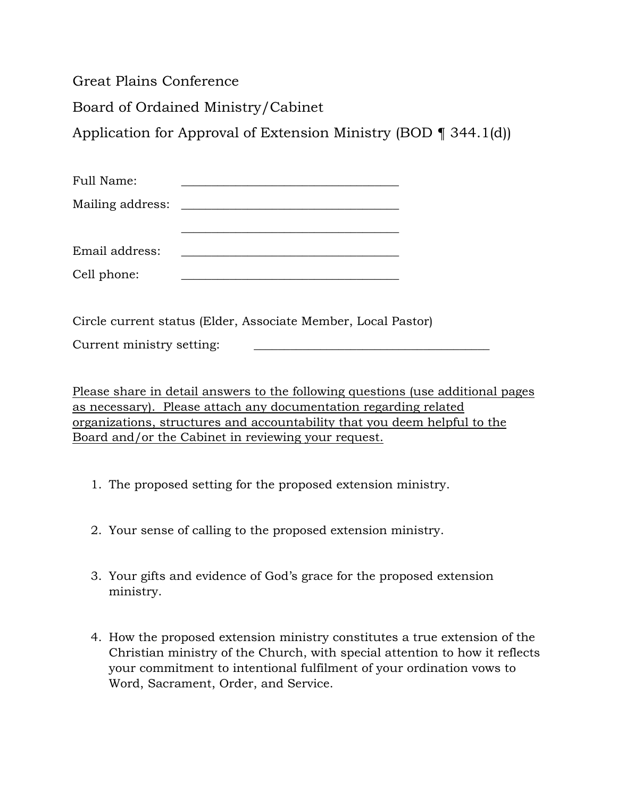Great Plains Conference

Board of Ordained Ministry/Cabinet

Application for Approval of Extension Ministry (BOD ¶ 344.1(d))

\_\_\_\_\_\_\_\_\_\_\_\_\_\_\_\_\_\_\_\_\_\_\_\_\_\_\_\_\_\_\_\_\_\_\_\_

| Full Name:       |  |
|------------------|--|
| Mailing address: |  |

| Email address: |  |
|----------------|--|
|                |  |

Cell phone:

Circle current status (Elder, Associate Member, Local Pastor)

Current ministry setting:

Please share in detail answers to the following questions (use additional pages as necessary). Please attach any documentation regarding related organizations, structures and accountability that you deem helpful to the Board and/or the Cabinet in reviewing your request.

- 1. The proposed setting for the proposed extension ministry.
- 2. Your sense of calling to the proposed extension ministry.
- 3. Your gifts and evidence of God's grace for the proposed extension ministry.
- 4. How the proposed extension ministry constitutes a true extension of the Christian ministry of the Church, with special attention to how it reflects your commitment to intentional fulfilment of your ordination vows to Word, Sacrament, Order, and Service.